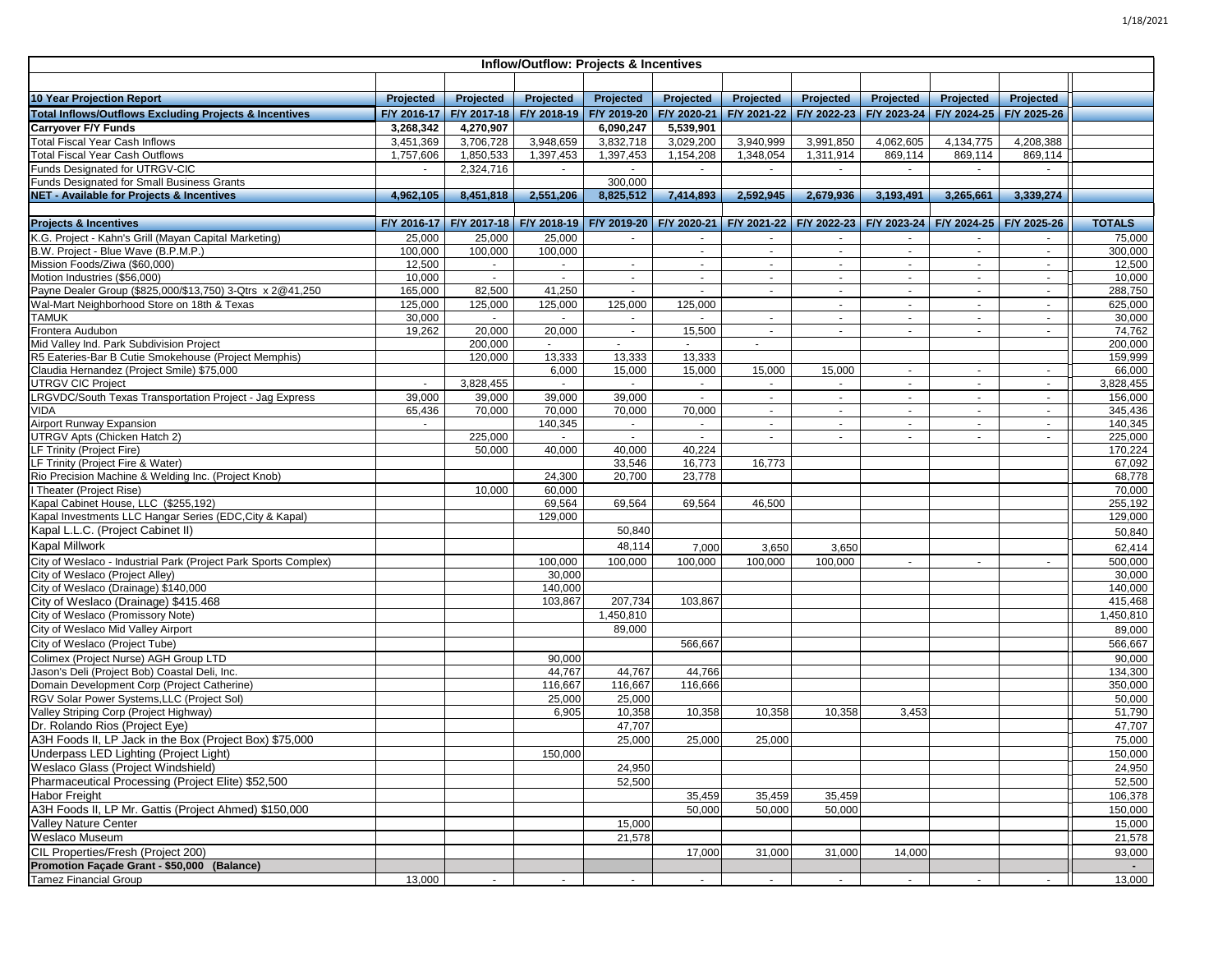| Inflow/Outflow: Projects & Incentives                                                              |             |             |                  |                                                                     |             |             |                  |                |                                                             |                |                    |
|----------------------------------------------------------------------------------------------------|-------------|-------------|------------------|---------------------------------------------------------------------|-------------|-------------|------------------|----------------|-------------------------------------------------------------|----------------|--------------------|
|                                                                                                    |             |             |                  |                                                                     |             |             |                  |                |                                                             |                |                    |
| <b>10 Year Projection Report</b>                                                                   | Projected   | Projected   | Projected        | Projected                                                           | Projected   | Projected   | <b>Projected</b> | Projected      | Projected                                                   | Projected      |                    |
| <b>Total Inflows/Outflows Excluding Projects &amp; Incentives</b>                                  | F/Y 2016-17 | F/Y 2017-18 | F/Y 2018-19      | F/Y 2019-20                                                         | F/Y 2020-21 | F/Y 2021-22 | F/Y 2022-23      | F/Y 2023-24    | F/Y 2024-25                                                 | F/Y 2025-26    |                    |
| <b>Carryover F/Y Funds</b>                                                                         | 3,268,342   | 4,270,907   |                  | 6,090,247                                                           | 5,539,901   |             |                  |                |                                                             |                |                    |
| <b>Total Fiscal Year Cash Inflows</b>                                                              | 3,451,369   | 3,706,728   | 3,948,659        | 3,832,718                                                           | 3,029,200   | 3,940,999   | 3,991,850        | 4,062,605      | 4,134,775                                                   | 4,208,388      |                    |
| <b>Total Fiscal Year Cash Outflows</b>                                                             | 1,757,606   | 1,850,533   | 1,397,453        | 1,397,453                                                           | 1,154,208   | 1.348.054   | 1,311,914        | 869,114        | 869,114                                                     | 869,114        |                    |
| Funds Designated for UTRGV-CIC                                                                     | $\sim$      | 2,324,716   | $\sim$           | $\sim$                                                              | $\sim$      | $\sim$      | $\sim$           | $\sim$         | $\sim$                                                      | $\sim$         |                    |
| Funds Designated for Small Business Grants                                                         |             |             |                  | 300,000                                                             |             |             |                  |                |                                                             |                |                    |
| NET - Available for Projects & Incentives                                                          | 4,962,105   | 8,451,818   | 2,551,206        | 8,825,512                                                           | 7,414,893   | 2,592,945   | 2,679,936        | 3,193,491      | 3,265,661                                                   | 3,339,274      |                    |
|                                                                                                    |             |             |                  |                                                                     |             |             |                  |                |                                                             |                |                    |
| <b>Projects &amp; Incentives</b>                                                                   |             |             |                  | F/Y 2016-17   F/Y 2017-18   F/Y 2018-19   F/Y 2019-20   F/Y 2020-21 |             |             |                  |                | F/Y 2021-22 F/Y 2022-23 F/Y 2023-24 F/Y 2024-25 F/Y 2025-26 |                | <b>TOTALS</b>      |
| K.G. Project - Kahn's Grill (Mayan Capital Marketing)                                              | 25,000      | 25,000      | 25,000           | $\sim$                                                              | $\sim$      | $\sim$      | $\sim$           | $\sim$         | $\sim$                                                      | $\sim$         | 75,000             |
| B.W. Project - Blue Wave (B.P.M.P.)                                                                | 100,000     | 100,000     | 100,000          |                                                                     | $\sim$      | $\sim$      | $\sim$           | $\sim$         | $\sim$                                                      | $\sim$         | 300,000            |
| Mission Foods/Ziwa (\$60,000)                                                                      | 12,500      | $\sim$      | $\sim$           | $\sim$                                                              | $\sim$      | $\sim$      | $\sim$           | $\sim$         | $\sim$                                                      | $\sim$         | 12,500             |
| Motion Industries (\$56,000)                                                                       | 10,000      | $\omega$    |                  | $\sim$                                                              | $\sim$      | $\sim$      | $\omega$         | $\blacksquare$ | $\mathcal{L}_{\mathcal{A}}$                                 | $\blacksquare$ | 10,000             |
| Payne Dealer Group (\$825,000/\$13,750) 3-Qtrs x 2@41,250                                          | 165,000     | 82,500      | 41,250           | $\sim$                                                              | $\sim$      | $\sim$      | $\sim$           | $\sim$         | $\sim$                                                      | $\sim$         | 288,750            |
| Wal-Mart Neighborhood Store on 18th & Texas                                                        | 125,000     | 125,000     | 125,000          | 125,000                                                             | 125,000     |             | $\sim$           | $\sim$         | $\sim$                                                      | $\sim$         | 625,000            |
| TAMUK                                                                                              | 30,000      | $\sim$      | $\sim$           | $\sim$                                                              | $\sim$      | $\sim$      | $\sim$           | $\sim$         | $\sim$                                                      | $\sim$         | 30,000             |
| Frontera Audubon<br>Mid Valley Ind. Park Subdivision Project                                       | 19,262      | 20,000      | 20,000           | $\sim$                                                              | 15,500      | $\sim$      | $\sim$           | $\sim$         | $\sim$                                                      | $\sim$         | 74,762             |
|                                                                                                    |             | 200,000     | $\sim$<br>13,333 | 13,333                                                              | 13,333      |             |                  |                |                                                             |                | 200,000<br>159,999 |
| R5 Eateries-Bar B Cutie Smokehouse (Project Memphis)<br>Claudia Hernandez (Project Smile) \$75,000 |             | 120,000     | 6,000            | 15,000                                                              | 15,000      | 15,000      | 15,000           | $\blacksquare$ | $\sim$                                                      | $\sim$         | 66,000             |
| <b>UTRGV CIC Project</b>                                                                           | $\sim$      | 3,828,455   | $\sim$           | $\sim$                                                              | $\sim$      | $\sim$      | $\sim$           | $\sim$         | $\sim$                                                      | $\blacksquare$ | 3,828,455          |
| LRGVDC/South Texas Transportation Project - Jag Express                                            | 39,000      | 39,000      | 39,000           | 39,000                                                              | $\sim$      | $\sim$      | $\sim$           | $\sim$         | $\sim$                                                      | $\sim$         | 156,000            |
| VIDA                                                                                               | 65,436      | 70,000      | 70,000           | 70,000                                                              | 70,000      | $\sim$      | $\sim$           | $\sim$         | $\sim$                                                      | $\sim$         | 345,436            |
| Airport Runway Expansion                                                                           | $\sim$      |             | 140,345          | $\sim$                                                              | $\sim$      | $\sim$      | $\sim$           | $\sim$         | $\sim$                                                      | $\sim$         | 140,345            |
| UTRGV Apts (Chicken Hatch 2)                                                                       |             | 225,000     |                  | $\mathbf{r}$                                                        |             |             |                  |                |                                                             |                | 225,000            |
| <b>LF Trinity (Project Fire)</b>                                                                   |             | 50,000      | 40,000           | 40,000                                                              | 40,224      |             |                  |                |                                                             |                | 170,224            |
| LF Trinity (Project Fire & Water)                                                                  |             |             |                  | 33,546                                                              | 16,773      | 16,773      |                  |                |                                                             |                | 67,092             |
| Rio Precision Machine & Welding Inc. (Project Knob)                                                |             |             | 24,300           | 20,700                                                              | 23,778      |             |                  |                |                                                             |                | 68,778             |
| I Theater (Project Rise)                                                                           |             | 10,000      | 60,000           |                                                                     |             |             |                  |                |                                                             |                | 70,000             |
| Kapal Cabinet House, LLC (\$255,192)                                                               |             |             | 69,564           | 69,564                                                              | 69,564      | 46,500      |                  |                |                                                             |                | 255,192            |
| Kapal Investments LLC Hangar Series (EDC, City & Kapal)                                            |             |             | 129,000          |                                                                     |             |             |                  |                |                                                             |                | 129,000            |
| Kapal L.L.C. (Project Cabinet II)                                                                  |             |             |                  | 50,840                                                              |             |             |                  |                |                                                             |                | 50,840             |
| <b>Kapal Millwork</b>                                                                              |             |             |                  | 48,114                                                              | 7,000       | 3,650       | 3,650            |                |                                                             |                | 62,414             |
| City of Weslaco - Industrial Park (Project Park Sports Complex)                                    |             |             | 100,000          | 100,000                                                             | 100,000     | 100,000     | 100,000          | $\sim$         | $\sim$                                                      | ÷.             | 500,000            |
| City of Weslaco (Project Alley)                                                                    |             |             | 30,000           |                                                                     |             |             |                  |                |                                                             |                | 30,000             |
| City of Weslaco (Drainage) \$140,000                                                               |             |             | 140,000          |                                                                     |             |             |                  |                |                                                             |                | 140,000            |
| City of Weslaco (Drainage) \$415.468                                                               |             |             | 103,867          | 207,734                                                             | 103,867     |             |                  |                |                                                             |                | 415,468            |
| City of Weslaco (Promissory Note)                                                                  |             |             |                  | 1,450,810                                                           |             |             |                  |                |                                                             |                | 1,450,810          |
| City of Weslaco Mid Valley Airport                                                                 |             |             |                  | 89,000                                                              |             |             |                  |                |                                                             |                | 89,000             |
| City of Weslaco (Project Tube)                                                                     |             |             |                  |                                                                     | 566,667     |             |                  |                |                                                             |                | 566,667            |
| Colimex (Project Nurse) AGH Group LTD                                                              |             |             | 90,000           |                                                                     |             |             |                  |                |                                                             |                | 90,000             |
| Jason's Deli (Proiect Bob) Coastal Deli, Inc.                                                      |             |             | 44,767           | 44,767                                                              | 44,766      |             |                  |                |                                                             |                | 134,300            |
| Domain Development Corp (Project Catherine)                                                        |             |             | 116,667          | 116,667                                                             | 116,666     |             |                  |                |                                                             |                | 350,000            |
| RGV Solar Power Systems, LLC (Project Sol)                                                         |             |             | 25,000           | 25,000                                                              |             |             |                  |                |                                                             |                | 50,000             |
| Valley Striping Corp (Project Highway)                                                             |             |             | 6,905            | 10,358                                                              | 10,358      | 10,358      | 10,358           | 3,453          |                                                             |                | 51,790             |
| Dr. Rolando Rios (Project Eye)                                                                     |             |             |                  | 47,707                                                              |             |             |                  |                |                                                             |                | 47,707             |
| A3H Foods II, LP Jack in the Box (Project Box) \$75,000                                            |             |             |                  | 25,000                                                              | 25,000      | 25,000      |                  |                |                                                             |                | 75,000             |
| Underpass LED Lighting (Project Light)                                                             |             |             | 150,000          |                                                                     |             |             |                  |                |                                                             |                | 150,000            |
| Weslaco Glass (Project Windshield)                                                                 |             |             |                  | 24,950                                                              |             |             |                  |                |                                                             |                | 24,950             |
| Pharmaceutical Processing (Project Elite) \$52,500                                                 |             |             |                  | 52,500                                                              |             |             |                  |                |                                                             |                | 52,500             |
| <b>Habor Freight</b>                                                                               |             |             |                  |                                                                     | 35,459      | 35,459      | 35,459           |                |                                                             |                | 106,378            |
| A3H Foods II, LP Mr. Gattis (Project Ahmed) \$150,000                                              |             |             |                  |                                                                     | 50,000      | 50,000      | 50,000           |                |                                                             |                | 150,000            |
| <b>Valley Nature Center</b>                                                                        |             |             |                  | 15,000                                                              |             |             |                  |                |                                                             |                | 15,000             |
| Weslaco Museum                                                                                     |             |             |                  | 21,578                                                              |             |             |                  |                |                                                             |                | 21,578             |
| CIL Properties/Fresh (Project 200)                                                                 |             |             |                  |                                                                     | 17,000      | 31,000      | 31,000           | 14,000         |                                                             |                | 93,000             |
| Promotion Facade Grant - \$50,000 (Balance)                                                        |             |             |                  |                                                                     |             |             |                  |                |                                                             |                |                    |
| <b>Tamez Financial Group</b>                                                                       | 13,000      | $\sim$      | $\sim$           | $\sim$                                                              | $\sim$      | $\sim$      | $\sim$           | $\sim$         | $\sim$                                                      | $\sim$         | 13,000             |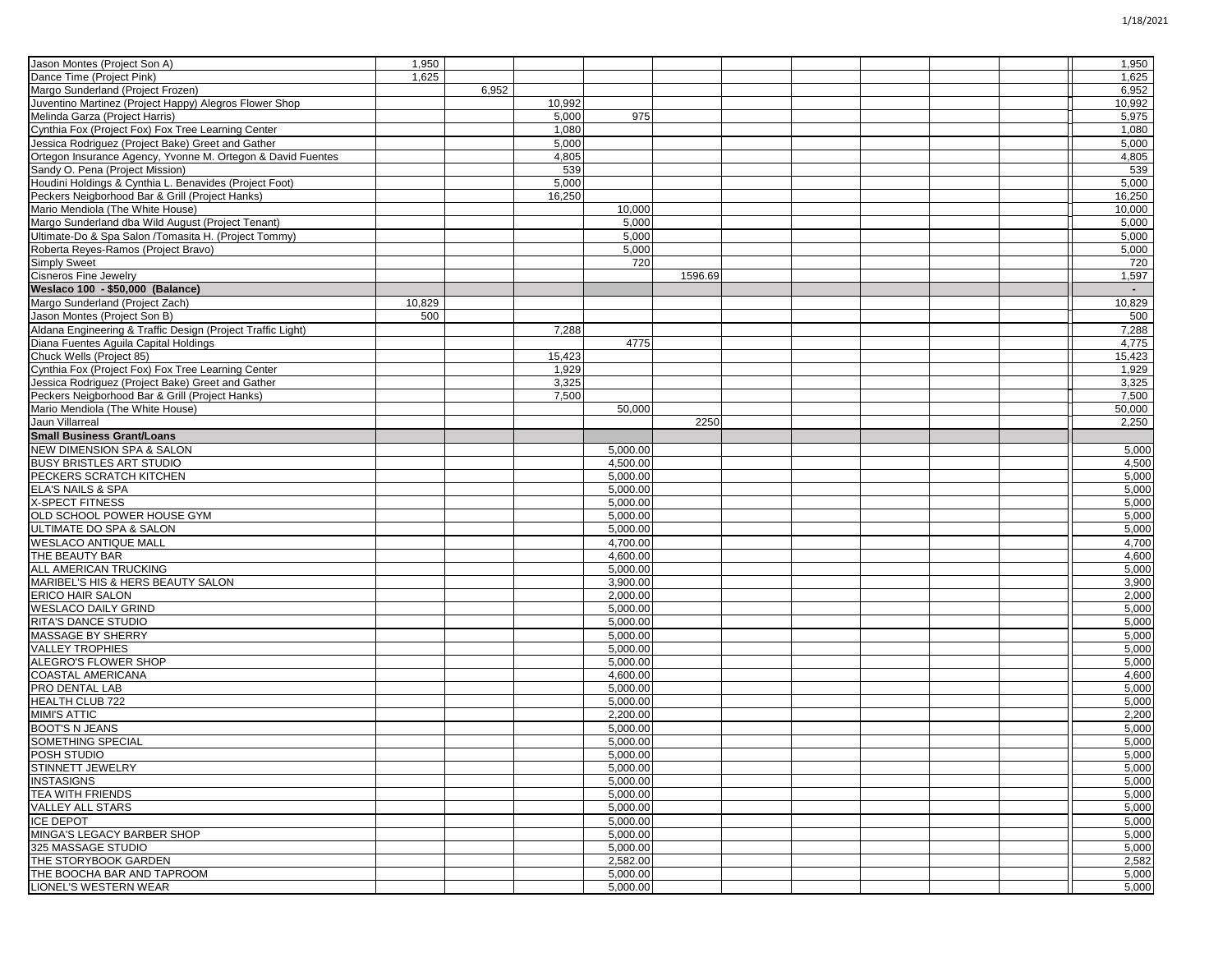| Jason Montes (Project Son A)                                    | 1,950  |       |        |          |         |  |  | 1,950  |
|-----------------------------------------------------------------|--------|-------|--------|----------|---------|--|--|--------|
| Dance Time (Project Pink)                                       | 1,625  |       |        |          |         |  |  | 1,625  |
| Margo Sunderland (Project Frozen)                               |        | 6,952 |        |          |         |  |  | 6,952  |
| Juventino Martinez (Project Happy) Alegros Flower Shop          |        |       | 10,992 |          |         |  |  | 10,992 |
| Melinda Garza (Project Harris)                                  |        |       | 5,000  | 975      |         |  |  | 5,975  |
| Cynthia Fox (Project Fox) Fox Tree Learning Center              |        |       | 1,080  |          |         |  |  | 1,080  |
| Jessica Rodriguez (Project Bake) Greet and Gather               |        |       | 5,000  |          |         |  |  | 5,000  |
| Ortegon Insurance Agency, Yvonne M. Ortegon & David Fuentes     |        |       | 4,805  |          |         |  |  | 4,805  |
| Sandy O. Pena (Project Mission)                                 |        |       | 539    |          |         |  |  | 539    |
| Houdini Holdings & Cynthia L. Benavides (Project Foot)          |        |       | 5,000  |          |         |  |  | 5,000  |
| Peckers Neigborhood Bar & Grill (Project Hanks)                 |        |       | 16,250 |          |         |  |  | 16,250 |
| Mario Mendiola (The White House)                                |        |       |        | 10,000   |         |  |  | 10,000 |
| Margo Sunderland dba Wild August (Project Tenant)               |        |       |        | 5,000    |         |  |  | 5,000  |
| Ultimate-Do & Spa Salon /Tomasita H. (Project Tommy)            |        |       |        | 5,000    |         |  |  | 5,000  |
| Roberta Reyes-Ramos (Project Bravo)                             |        |       |        | 5,000    |         |  |  | 5,000  |
| <b>Simply Sweet</b>                                             |        |       |        | 720      |         |  |  | 720    |
| <b>Cisneros Fine Jewelry</b>                                    |        |       |        |          | 1596.69 |  |  | 1,597  |
| Weslaco 100 - \$50,000 (Balance)                                |        |       |        |          |         |  |  |        |
|                                                                 |        |       |        |          |         |  |  | 10,829 |
| Margo Sunderland (Project Zach)<br>Jason Montes (Project Son B) | 10,829 |       |        |          |         |  |  |        |
|                                                                 | 500    |       |        |          |         |  |  | 500    |
| Aldana Engineering & Traffic Design (Project Traffic Light)     |        |       | 7,288  |          |         |  |  | 7,288  |
| Diana Fuentes Aguila Capital Holdings                           |        |       |        | 4775     |         |  |  | 4,775  |
| Chuck Wells (Project 85)                                        |        |       | 15,423 |          |         |  |  | 15,423 |
| Cynthia Fox (Project Fox) Fox Tree Learning Center              |        |       | 1,929  |          |         |  |  | 1,929  |
| Jessica Rodriguez (Project Bake) Greet and Gather               |        |       | 3,325  |          |         |  |  | 3,325  |
| Peckers Neigborhood Bar & Grill (Project Hanks)                 |        |       | 7,500  |          |         |  |  | 7,500  |
| Mario Mendiola (The White House)                                |        |       |        | 50,000   |         |  |  | 50,000 |
| Jaun Villarreal                                                 |        |       |        |          | 2250    |  |  | 2,250  |
| <b>Small Business Grant/Loans</b>                               |        |       |        |          |         |  |  |        |
| NEW DIMENSION SPA & SALON                                       |        |       |        | 5,000.00 |         |  |  | 5,000  |
| <b>BUSY BRISTLES ART STUDIO</b>                                 |        |       |        | 4,500.00 |         |  |  | 4,500  |
| <b>PECKERS SCRATCH KITCHEN</b>                                  |        |       |        | 5,000.00 |         |  |  | 5,000  |
| <b>ELA'S NAILS &amp; SPA</b>                                    |        |       |        | 5,000.00 |         |  |  | 5,000  |
| X-SPECT FITNESS                                                 |        |       |        | 5,000.00 |         |  |  | 5,000  |
| OLD SCHOOL POWER HOUSE GYM                                      |        |       |        | 5,000.00 |         |  |  | 5,000  |
| ULTIMATE DO SPA & SALON                                         |        |       |        | 5,000.00 |         |  |  | 5,000  |
| <b>WESLACO ANTIQUE MALL</b>                                     |        |       |        | 4,700.00 |         |  |  | 4,700  |
| THE BEAUTY BAR                                                  |        |       |        | 4,600.00 |         |  |  | 4,600  |
| ALL AMERICAN TRUCKING                                           |        |       |        | 5,000.00 |         |  |  | 5,000  |
| MARIBEL'S HIS & HERS BEAUTY SALON                               |        |       |        | 3,900.00 |         |  |  | 3,900  |
| <b>ERICO HAIR SALON</b>                                         |        |       |        | 2,000.00 |         |  |  | 2,000  |
| <b>WESLACO DAILY GRIND</b>                                      |        |       |        | 5,000.00 |         |  |  | 5,000  |
| RITA'S DANCE STUDIO                                             |        |       |        | 5,000.00 |         |  |  | 5,000  |
| MASSAGE BY SHERRY                                               |        |       |        | 5,000.00 |         |  |  | 5,000  |
| <b>VALLEY TROPHIES</b>                                          |        |       |        | 5,000.00 |         |  |  | 5,000  |
| ALEGRO'S FLOWER SHOP                                            |        |       |        | 5,000.00 |         |  |  | 5,000  |
| <b>COASTAL AMERICANA</b>                                        |        |       |        | 4,600.00 |         |  |  | 4,600  |
| PRO DENTAL LAB                                                  |        |       |        | 5,000.00 |         |  |  | 5,000  |
| <b>HEALTH CLUB 722</b>                                          |        |       |        | 5,000.00 |         |  |  | 5,000  |
| <b>MIMI'S ATTIC</b>                                             |        |       |        | 2,200.00 |         |  |  | 2,200  |
| <b>BOOT'S N JEANS</b>                                           |        |       |        | 5,000.00 |         |  |  | 5,000  |
| <b>SOMETHING SPECIAL</b>                                        |        |       |        | 5,000.00 |         |  |  | 5,000  |
| <b>POSH STUDIO</b>                                              |        |       |        | 5,000.00 |         |  |  | 5,000  |
| STINNETT JEWELRY                                                |        |       |        | 5,000.00 |         |  |  | 5,000  |
| <b>INSTASIGNS</b>                                               |        |       |        | 5,000.00 |         |  |  | 5,000  |
| <b>TEA WITH FRIENDS</b>                                         |        |       |        | 5,000.00 |         |  |  | 5,000  |
| <b>VALLEY ALL STARS</b>                                         |        |       |        | 5,000.00 |         |  |  | 5,000  |
| <b>ICE DEPOT</b>                                                |        |       |        | 5,000.00 |         |  |  | 5,000  |
| MINGA'S LEGACY BARBER SHOP                                      |        |       |        | 5,000.00 |         |  |  | 5,000  |
| 325 MASSAGE STUDIO                                              |        |       |        | 5,000.00 |         |  |  | 5,000  |
| THE STORYBOOK GARDEN                                            |        |       |        | 2,582.00 |         |  |  | 2,582  |
| THE BOOCHA BAR AND TAPROOM                                      |        |       |        | 5,000.00 |         |  |  | 5,000  |
| LIONEL'S WESTERN WEAR                                           |        |       |        | 5,000.00 |         |  |  | 5,000  |